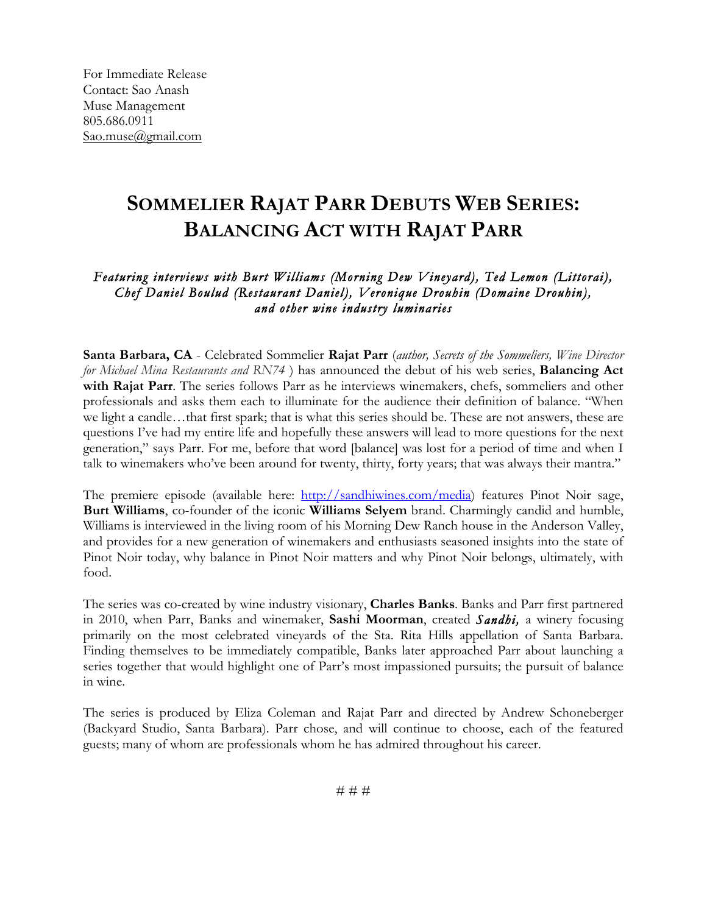For Immediate Release Contact: Sao Anash Muse Management 805.686.0911 Sao.muse@gmail.com

## **SOMMELIER RAJAT PARR DEBUTS WEB SERIES: BALANCING ACT WITH RAJAT PARR**

## *Featuring interviews with Burt Williams (Morning Dew Vineyard), Ted Lemon (Littorai), Chef Daniel Boulud (Restaurant Daniel), Veronique Drouhin (Domaine Drouhin), and other wine industry luminaries*

**Santa Barbara, CA** - Celebrated Sommelier **Rajat Parr** (*author, Secrets of the Sommeliers, Wine Director for Michael Mina Restaurants and RN74* ) has announced the debut of his web series, **Balancing Act with Rajat Parr**. The series follows Parr as he interviews winemakers, chefs, sommeliers and other professionals and asks them each to illuminate for the audience their definition of balance. "When we light a candle…that first spark; that is what this series should be. These are not answers, these are questions I've had my entire life and hopefully these answers will lead to more questions for the next generation," says Parr. For me, before that word [balance] was lost for a period of time and when I talk to winemakers who've been around for twenty, thirty, forty years; that was always their mantra."

The premiere episode (available here: http://sandhiwines.com/media) features Pinot Noir sage, **Burt Williams**, co-founder of the iconic **Williams Selyem** brand. Charmingly candid and humble, Williams is interviewed in the living room of his Morning Dew Ranch house in the Anderson Valley, and provides for a new generation of winemakers and enthusiasts seasoned insights into the state of Pinot Noir today, why balance in Pinot Noir matters and why Pinot Noir belongs, ultimately, with food.

The series was co-created by wine industry visionary, **Charles Banks**. Banks and Parr first partnered in 2010, when Parr, Banks and winemaker, **Sashi Moorman**, created *Sandhi,* a winery focusing primarily on the most celebrated vineyards of the Sta. Rita Hills appellation of Santa Barbara. Finding themselves to be immediately compatible, Banks later approached Parr about launching a series together that would highlight one of Parr's most impassioned pursuits; the pursuit of balance in wine.

The series is produced by Eliza Coleman and Rajat Parr and directed by Andrew Schoneberger (Backyard Studio, Santa Barbara). Parr chose, and will continue to choose, each of the featured guests; many of whom are professionals whom he has admired throughout his career.

# # #